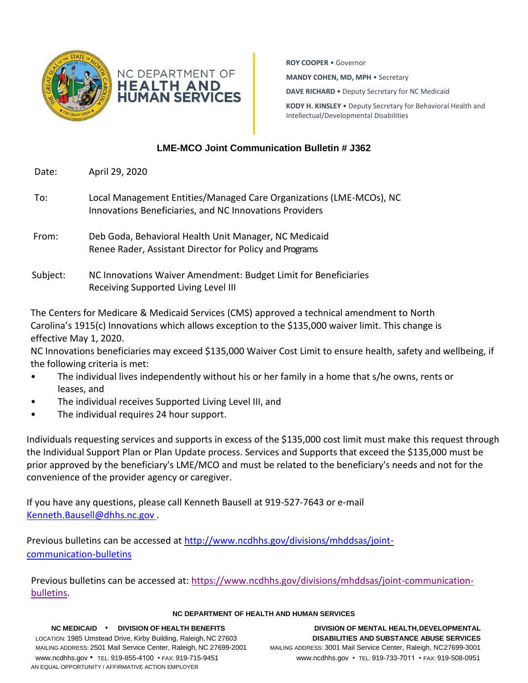

**ROY COOPER** • Governor **MANDY COHEN, MD, MPH** • Secretary **DAVE RICHARD** • Deputy Secretary for NC Medicaid **KODY H. KINSLEY** • Deputy Secretary for Behavioral Health and Intellectual/Developmental Disabilities

# **LME-MCO Joint Communication Bulletin # J362**

- Date: April 29, 2020
- To: Local Management Entities/Managed Care Organizations (LME-MCOs), NC Innovations Beneficiaries, and NC Innovations Providers
- From: Deb Goda, Behavioral Health Unit Manager, NC Medicaid Renee Rader, Assistant Director for Policy and Programs
- Subject: NC Innovations Waiver Amendment: Budget Limit for Beneficiaries Receiving Supported Living Level III

The Centers for Medicare & Medicaid Services (CMS) approved a technical amendment to North Carolina's 1915(c) Innovations which allows exception to the \$135,000 waiver limit. This change is effective May 1, 2020.

NC Innovations beneficiaries may exceed \$135,000 Waiver Cost Limit to ensure health, safety and wellbeing, if the following criteria is met:

- The individual lives independently without his or her family in a home that s/he owns, rents or leases, and
- The individual receives Supported Living Level III, and
- The individual requires 24 hour support.

Individuals requesting services and supports in excess of the \$135,000 cost limit must make this request through the Individual Support Plan or Plan Update process. Services and Supports that exceed the \$135,000 must be prior approved by the beneficiary's LME/MCO and must be related to the beneficiary's needs and not for the convenience of the provider agency or caregiver.

If you have any questions, please call Kenneth Bausell at 919-527-7643 or e-mail [Kenneth.Bausell@dhhs.nc.gov .](mailto:Kenneth.Bausell@dhhs.nc.gov)

Previous bulletins can be accessed at [http://www.ncdhhs.gov/divisions/mhddsas/joint](http://www.ncdhhs.gov/divisions/mhddsas/joint-communication-bulletins)[communication-bulletins](http://www.ncdhhs.gov/divisions/mhddsas/joint-communication-bulletins)

Previous bulletins can be accessed at: [https://www.ncdhhs.gov/divisions/mhddsas/joint-communication](https://www.ncdhhs.gov/divisions/mhddsas/joint-communication-bulletins)[bulletins.](https://www.ncdhhs.gov/divisions/mhddsas/joint-communication-bulletins)

## **NC DEPARTMENT OF HEALTH AND HUMAN SERVICES**

LOCATION: 1985 Umstead Drive, Kirby Building, Raleigh,NC 27603 **DISABILITIES AND SUBSTANCE ABUSE SERVICES** MAILING ADDRESS: 2501 Mail Service Center, Raleigh, NC 27699-2001 MAILING ADDRESS: 3001 Mail Service Center, Raleigh, NC27699-3001 [www.ncdhhs.gov](http://www.ncdhhs.gov/) • TEL: 919-855-4100 • FAX: 919-715-9451 [www.ncdhhs.gov](http://www.ncdhhs.gov/) • TEL: 919-733-7011 • FAX: 919-508-0951 AN EQUAL OPPORTUNITY / AFFIRMATIVE ACTION EMPLOYER

**NC MEDICAID** • **DIVISION OF HEALTH BENEFITS DIVISION OF MENTAL HEALTH,DEVELOPMENTAL**